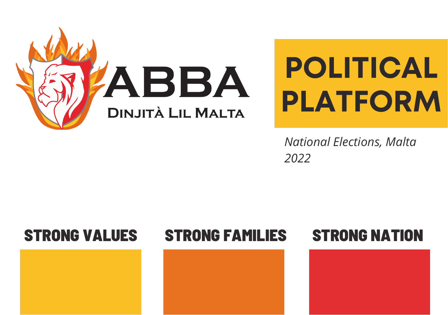

# POLITICAL PLATFORM

*National Elections, Malta 2022*

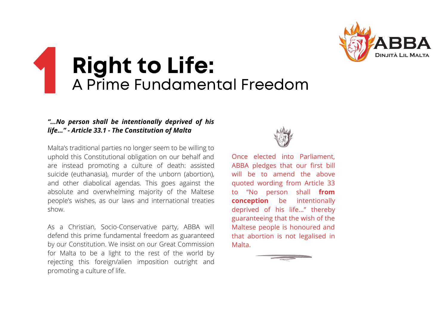

# 1 Right to Life: A Prime Fundamental Freedom

### *"...No person shall be intentionally deprived of his life…" - Article 33.1 - The Constitution of Malta*

Malta's traditional parties no longer seem to be willing to uphold this Constitutional obligation on our behalf and are instead promoting a culture of death: assisted suicide (euthanasia), murder of the unborn (abortion), and other diabolical agendas. This goes against the absolute and overwhelming majority of the Maltese people's wishes, as our laws and international treaties show.

As a Christian, Socio-Conservative party, ABBA will defend this prime fundamental freedom as guaranteed by our Constitution. We insist on our Great Commission for Malta to be a light to the rest of the world by rejecting this foreign/alien imposition outright and promoting a culture of life.



Once elected into Parliament, ABBA pledges that our first bill will be to amend the above quoted wording from Article 33 to "No person shall **from conception** be intentionally deprived of his life…" thereby guaranteeing that the wish of the Maltese people is honoured and that abortion is not legalised in Malta.

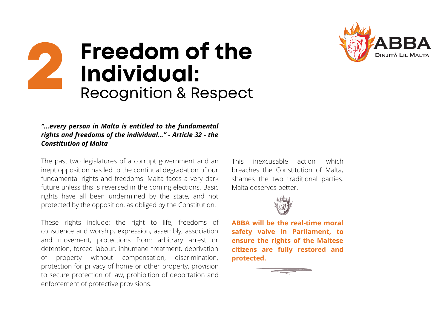



#### *"…every person in Malta is entitled to the fundamental rights and freedoms of the individual…" - Article 32 - the Constitution of Malta*

The past two legislatures of a corrupt government and an inept opposition has led to the continual degradation of our fundamental rights and freedoms. Malta faces a very dark future unless this is reversed in the coming elections. Basic rights have all been undermined by the state, and not protected by the opposition, as obliged by the Constitution.

These rights include: the right to life, freedoms of conscience and worship, expression, assembly, association and movement, protections from: arbitrary arrest or detention, forced labour, inhumane treatment, deprivation of property without compensation, discrimination, protection for privacy of home or other property, provision to secure protection of law, prohibition of deportation and enforcement of protective provisions.

This inexcusable action, which breaches the Constitution of Malta, shames the two traditional parties. Malta deserves better.



**ABBA will be the real-time moral safety valve in Parliament, to ensure the rights of the Maltese citizens are fully restored and protected.**

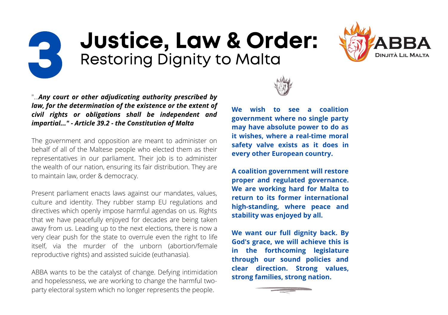## 3 Justice, Law & Order: Restoring Dignity to Malta



"...*Any court or other adjudicating authority prescribed by law, for the determination of the existence or the extent of civil rights or obligations shall be independent and impartial..." - Article 39.2 - the Constitution of Malta*

The government and opposition are meant to administer on behalf of all of the Maltese people who elected them as their representatives in our parliament. Their job is to administer the wealth of our nation, ensuring its fair distribution. They are to maintain law, order & democracy.

Present parliament enacts laws against our mandates, values, culture and identity. They rubber stamp EU regulations and directives which openly impose harmful agendas on us. Rights that we have peacefully enjoyed for decades are being taken away from us. Leading up to the next elections, there is now a very clear push for the state to overrule even the right to life itself, via the murder of the unborn (abortion/female reproductive rights) and assisted suicide (euthanasia).

ABBA wants to be the catalyst of change. Defying intimidation and hopelessness, we are working to change the harmful twoparty electoral system which no longer represents the people.



**We wish to see a coalition government where no single party may have absolute power to do as it wishes, where a real-time moral safety valve exists as it does in every other European country.**

**A coalition government will restore proper and regulated governance. We are working hard for Malta to return to its former international high-standing, where peace and stability was enjoyed by all.**

**We want our full dignity back. By God's grace, we will achieve this is in the forthcoming legislature through our sound policies and clear direction. Strong values, strong families, strong nation.**

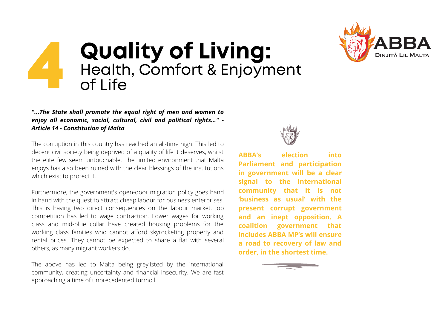

### 4 Quality of Living: Health, Comfort & Enjoyment  $of$  Life

#### *"...The State shall promote the equal right of men and women to enjoy all economic, social, cultural, civil and political rights…" - Article 14 - Constitution of Malta*

The corruption in this country has reached an all-time high. This led to decent civil society being deprived of a quality of life it deserves, whilst the elite few seem untouchable. The limited environment that Malta enjoys has also been ruined with the clear blessings of the institutions which exist to protect it.

Furthermore, the government's open-door migration policy goes hand in hand with the quest to attract cheap labour for business enterprises. This is having two direct consequences on the labour market. Job competition has led to wage contraction. Lower wages for working class and mid-blue collar have created housing problems for the working class families who cannot afford skyrocketing property and rental prices. They cannot be expected to share a flat with several others, as many migrant workers do.

The above has led to Malta being greylisted by the international community, creating uncertainty and financial insecurity. We are fast approaching a time of unprecedented turmoil.



**ABBA's election into Parliament and participation in government will be a clear signal to the international community that it is not 'business as usual' with the present corrupt government and an inept opposition. A coalition government that includes ABBA MP's will ensure a road to recovery of law and order, in the shortest time.**

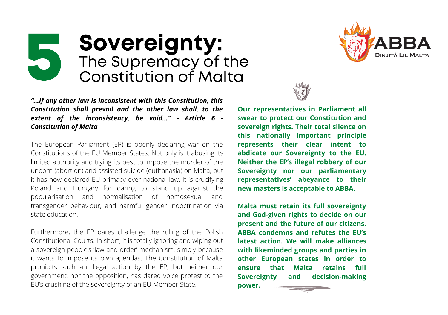### 5 Sovereignty: The Supremacy of the Constitution of Malta

*"…if any other law is inconsistent with this Constitution, this Constitution shall prevail and the other law shall, to the extent of the inconsistency, be void…" - Article 6 - Constitution of Malta*

The European Parliament (EP) is openly declaring war on the Constitutions of the EU Member States. Not only is it abusing its limited authority and trying its best to impose the murder of the unborn (abortion) and assisted suicide (euthanasia) on Malta, but it has now declared EU primacy over national law. It is crucifying Poland and Hungary for daring to stand up against the popularisation and normalisation of homosexual and transgender behaviour, and harmful gender indoctrination via state education.

Furthermore, the EP dares challenge the ruling of the Polish Constitutional Courts. In short, it is totally ignoring and wiping out a sovereign people's 'law and order' mechanism, simply because it wants to impose its own agendas. The Constitution of Malta prohibits such an illegal action by the EP, but neither our government, nor the opposition, has dared voice protest to the EU's crushing of the sovereignty of an EU Member State.





**Our representatives in Parliament all swear to protect our Constitution and sovereign rights. Their total silence on this nationally important principle represents their clear intent to abdicate our Sovereignty to the EU. Neither the EP's illegal robbery of our Sovereignty nor our parliamentary representatives' abeyance to their new masters is acceptable to ABBA.**

**Malta must retain its full sovereignty and God-given rights to decide on our present and the future of our citizens. ABBA condemns and refutes the EU's latest action. We will make alliances with likeminded groups and parties in other European states in order to ensure that Malta retains full Sovereignty and decision-making power.**